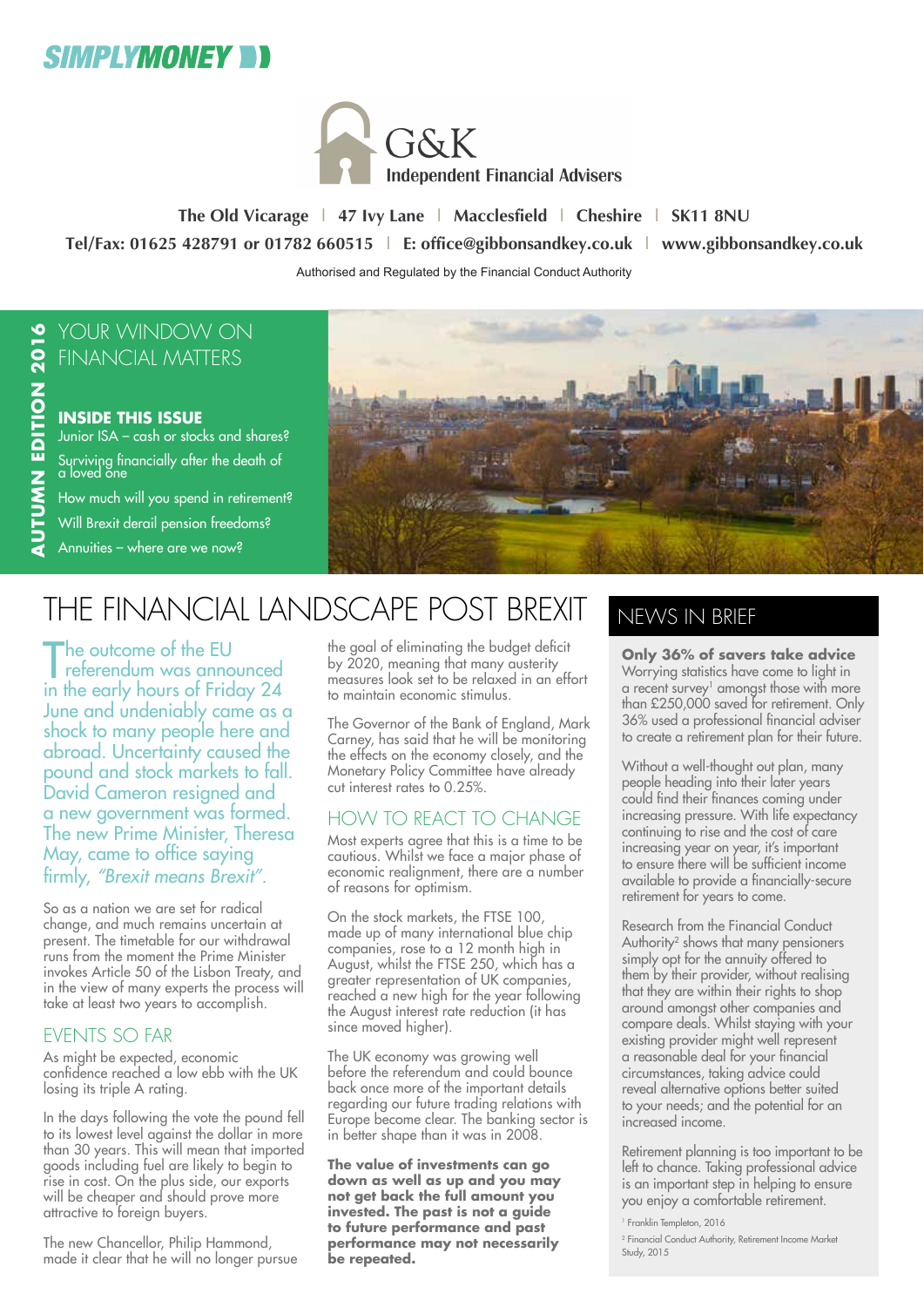



**The Old Vicarage | 47 Ivy Lane | Macclesfield | Cheshire | SK11 8NU Tel/Fax: 01625 428791 or 01782 660515 | E: office@gibbonsandkey.co.uk | www.gibbonsandkey.co.uk** Authorised and Regulated by the Financial Conduct Authority

### YOUR WINDOW ON FINANCIAL MATTERS

#### **INSIDE THIS ISSUE** Junior ISA – cash or stocks and shares? Surviving financially after the death of a loved ŏne

How much will you spend in retirement?

Will Brexit derail pension freedoms?

Annuities – where are we now?



## THE FINANCIAL LANDSCAPE POST BREXIT

The outcome of the EU<br>referendum was announced he outcome of the EU in the early hours of Friday 24 June and undeniably came as a shock to many people here and abroad. Uncertainty caused the pound and stock markets to fall. David Cameron resigned and a new government was formed. The new Prime Minister, Theresa May, came to office saying firmly, *"Brexit means Brexit"*.

So as a nation we are set for radical change, and much remains uncertain at present. The timetable for our withdrawal runs from the moment the Prime Minister invokes Article 50 of the Lisbon Treaty, and in the view of many experts the process will take at least two years to accomplish.

### EVENTS SO FAR

As might be expected, economic confidence reached a low ebb with the UK losing its triple A rating.

In the days following the vote the pound fell to its lowest level against the dollar in more than 30 years. This will mean that imported goods including fuel are likely to begin to rise in cost. On the plus side, our exports will be cheaper and should prove more attractive to foreign buyers.

The new Chancellor, Philip Hammond, made it clear that he will no longer pursue

the goal of eliminating the budget deficit by 2020, meaning that many austerity measures look set to be relaxed in an effort to maintain economic stimulus.

The Governor of the Bank of England, Mark Carney, has said that he will be monitoring the effects on the economy closely, and the Monetary Policy Committée have already cut interest rates to 0.25%.

### HOW TO REACT TO CHANGE

Most experts agree that this is a time to be cautious. Whilst we face a major phase of economic realignment, there are a number of reasons for optimism.

On the stock markets, the FTSE 100, made up of many international blue chip companies, rose to a 12 month high in August, whilst the FTSE 250, which has a greater representation of UK companies, reached a new high for the year following the August interest rate reduction (it has since moved higher).

The UK economy was growing well before the referendum and could bounce back once more of the important details regarding our future trading relations with Europe become clear. The banking sector is in better shape than it was in 2008.

**The value of investments can go down as well as up and you may not get back the full amount you invested. The past is not a guide to future performance and past performance may not necessarily be repeated.**

## NEWS IN BRIEF

**Only 36% of savers take advice** Worrying statistics have come to light in a recent survey $<sup>1</sup>$  amongst those with more</sup> than £250,000 saved for retirement. Only 36% used a professional financial adviser to create a retirement plan for their future.

Without a well-thought out plan, many people heading into their later years could find their finances coming under increasing pressure. With life expectancy continuing to rise and the cost of care increasing year on year, it's important to ensure there will be sufficient income available to provide a financially-secure retirement for years to come.

Research from the Financial Conduct Authority<sup>2</sup> shows that many pensioners simply opt for the annuity offered to them by their provider, without realising that they are within their rights to shop around amongst other companies and compare deals. Whilst staying with your existing provider might well represent a reasonable deal for your financial circumstances, taking advice could reveal alternative options better suited to your needs; and the potential for an increased income.

Retirement planning is too important to be left to chance. Taking professional advice is an important step in helping to ensure you enjoy a comfortable retirement.

<sup>1</sup> Franklin Templeton, 2016

<sup>2</sup> Financial Conduct Authority, Retirement Income Market Study, 2015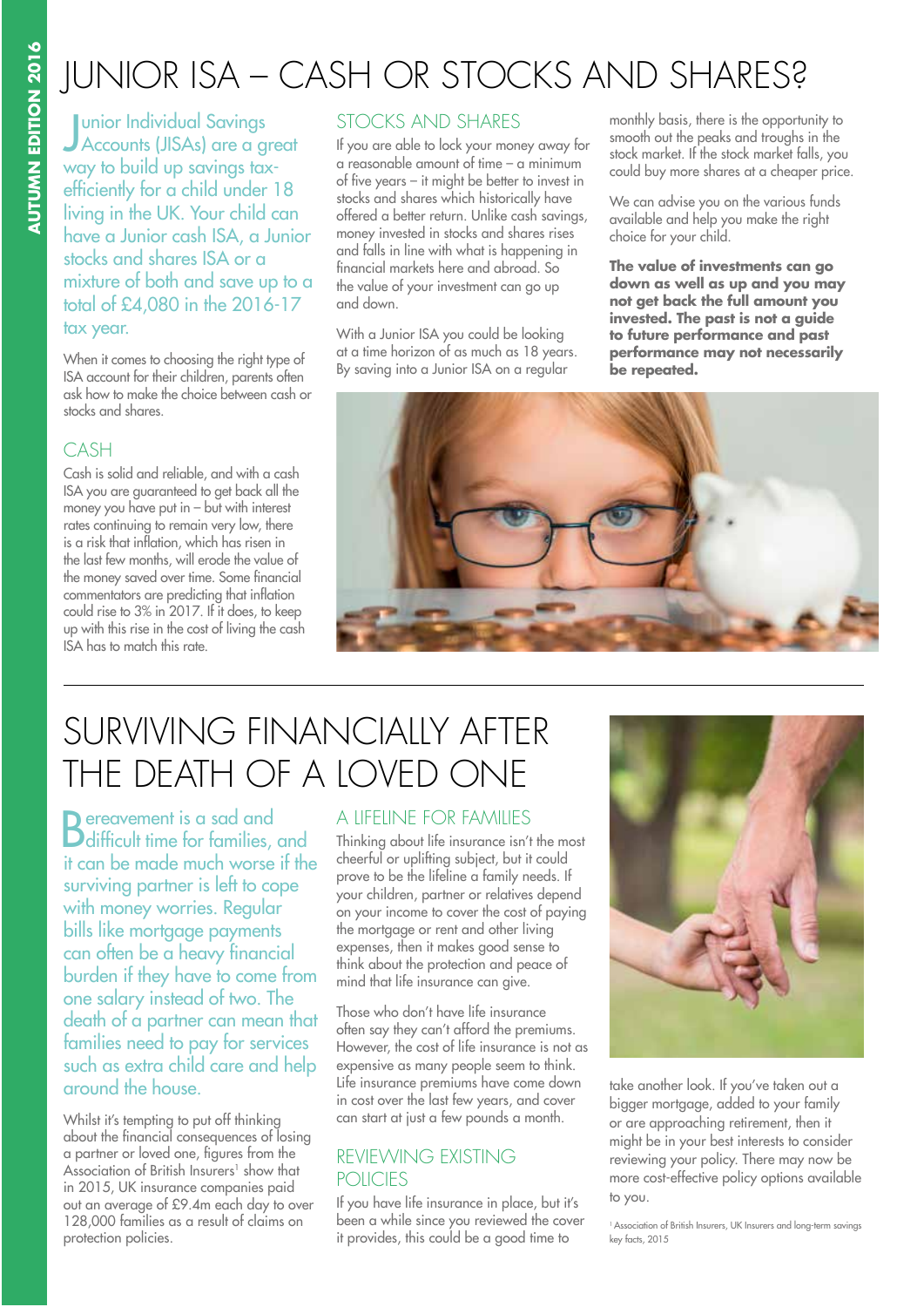## JUNIOR ISA – CASH OR STOCKS AND SHARES?

J Accounts (JISAs) are a great **Lunior Individual Savings** way to build up savings taxefficiently for a child under 18 living in the UK. Your child can have a Junior cash ISA, a Junior stocks and shares ISA or a mixture of both and save up to a total of £4,080 in the 2016-17 tax year.

When it comes to choosing the right type of ISA account for their children, parents often ask how to make the choice between cash or stocks and shares.

#### CASH

Cash is solid and reliable, and with a cash ISA you are guaranteed to get back all the money you have put in – but with interest rates continuing to remain very low, there is a risk that inflation, which has risen in the last few months, will erode the value of the money saved over time. Some financial commentators are predicting that inflation could rise to 3% in 2017. If it does, to keep up with this rise in the cost of living the cash ISA has to match this rate.

#### STOCKS AND SHARES

If you are able to lock your money away for a reasonable amount of time – a minimum of five years – it might be better to invest in stocks and shares which historically have offered a better return. Unlike cash savings, money invested in stocks and shares rises and falls in line with what is happening in financial markets here and abroad. So the value of your investment can go up and down.

With a Junior ISA you could be looking at a time horizon of as much as 18 years. By saving into a Junior ISA on a regular

monthly basis, there is the opportunity to smooth out the peaks and troughs in the stock market. If the stock market falls, you could buy more shares at a cheaper price.

We can advise you on the various funds available and help you make the right choice for your child.

**The value of investments can go down as well as up and you may not get back the full amount you invested. The past is not a guide to future performance and past performance may not necessarily be repeated.**



## SURVIVING FINANCIALLY AFTER THE DEATH OF A LOVED ONE

**D** ereavement is a sad and **D**difficult time for families, and it can be made much worse if the surviving partner is left to cope with money worries. Regular bills like mortgage payments can often be a heavy financial burden if they have to come from one salary instead of two. The death of a partner can mean that families need to pay for services such as extra child care and help around the house.

Whilst it's tempting to put off thinking about the financial consequences of losing a partner or loved one, figures from the Association of British Insurers<sup>1</sup> show that in 2015, UK insurance companies paid out an average of £9.4m each day to over 128,000 families as a result of claims on protection policies.

#### A LIFELINE FOR FAMILIES

Thinking about life insurance isn't the most cheerful or uplifting subject, but it could prove to be the lifeline a family needs. If your children, partner or relatives depend on your income to cover the cost of paying the mortgage or rent and other living expenses, then it makes good sense to think about the protection and peace of mind that life insurance can give.

Those who don't have life insurance often say they can't afford the premiums. However, the cost of life insurance is not as expensive as many people seem to think. Life insurance premiums have come down in cost over the last few years, and cover can start at just a few pounds a month.

### REVIEWING EXISTING **POLICIES**

If you have life insurance in place, but it's been a while since you reviewed the cover it provides, this could be a good time to



take another look. If you've taken out a bigger mortgage, added to your family or are approaching retirement, then it might be in your best interests to consider reviewing your policy. There may now be more cost-effective policy options available to you.

<sup>1</sup> Association of British Insurers, UK Insurers and long-term savings key facts, 2015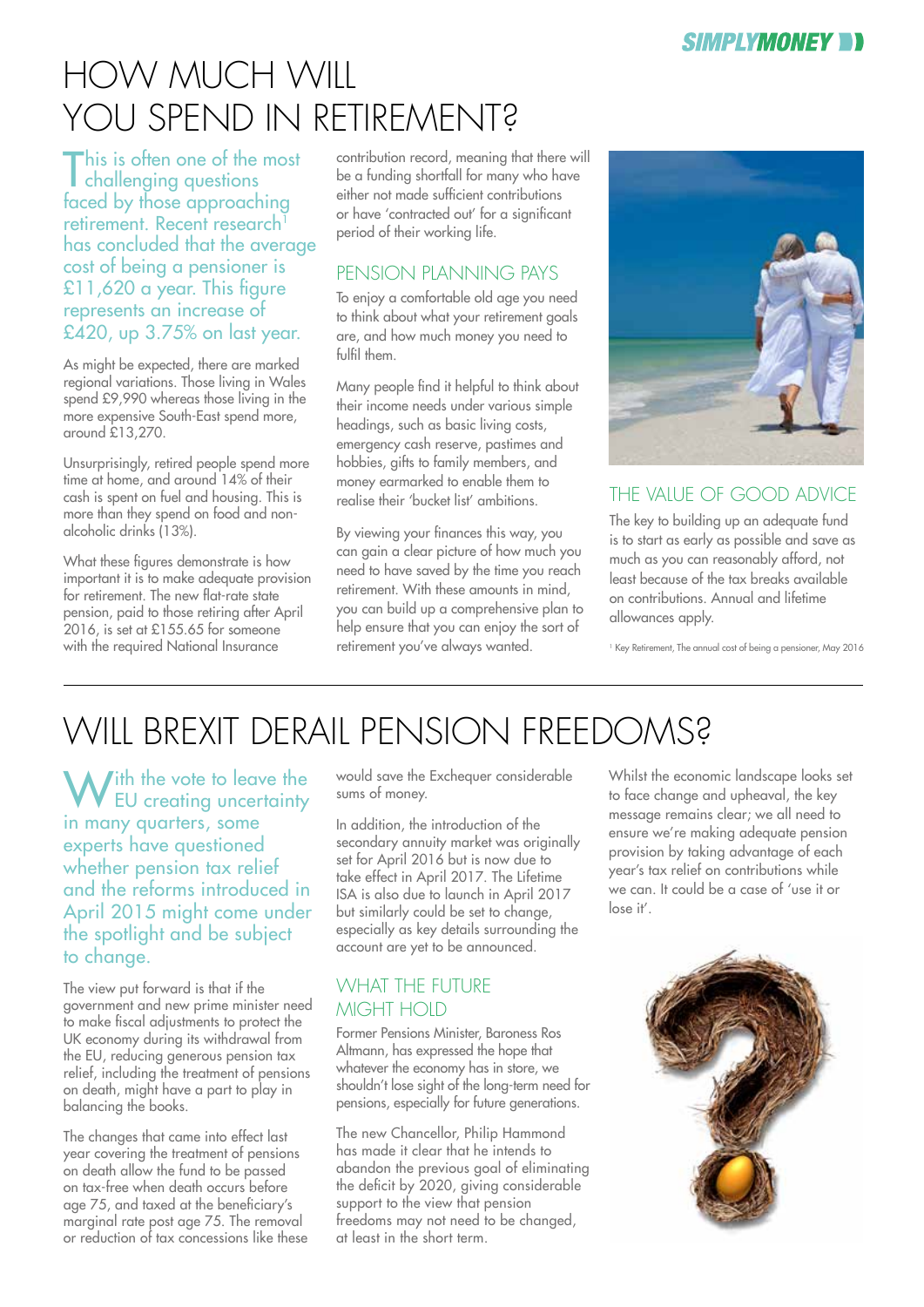## HOW MUCH WILL YOU SPEND IN RETIREMENT?

This is often one of the most challenging questions faced by those approaching retirement. Recent research<sup>1</sup> has concluded that the average cost of being a pensioner is £11,620 a year. This figure represents an increase of £420, up 3.75% on last year.

As might be expected, there are marked regional variations. Those living in Wales spend £9,990 whereas those living in the more expensive South-East spend more, around £13,270.

Unsurprisingly, retired people spend more time at home, and around 14% of their cash is spent on fuel and housing. This is more than they spend on food and nonalcoholic drinks (13%).

What these figures demonstrate is how important it is to make adequate provision for retirement. The new flat-rate state pension, paid to those retiring after April 2016, is set at £155.65 for someone with the required National Insurance

contribution record, meaning that there will be a funding shortfall for many who have either not made sufficient contributions or have 'contracted out' for a significant period of their working life.

### PENSION PLANNING PAYS

To enjoy a comfortable old age you need to think about what your retirement goals are, and how much money you need to fulfil them.

Many people find it helpful to think about their income needs under various simple headings, such as basic living costs, emergency cash reserve, pastimes and hobbies, gifts to family members, and money earmarked to enable them to realise their 'bucket list' ambitions.

By viewing your finances this way, you can gain a clear picture of how much you need to have saved by the time you reach retirement. With these amounts in mind you can build up a comprehensive plan to help ensure that you can enjoy the sort of retirement you've always wanted.



### THE VAILIE OF GOOD ADVICE

The key to building up an adequate fund is to start as early as possible and save as much as you can reasonably afford, not least because of the tax breaks available on contributions. Annual and lifetime allowances apply.

1 Key Retirement, The annual cost of being a pensioner, May 2016

# WILL BREXIT DERAIL PENSION FREEDOMS?

W<sup>ith</sup> the vote to leave the<br>EU creating uncertainty in many quarters, some experts have questioned whether pension tax relief and the reforms introduced in April 2015 might come under the spotlight and be subject to change.

The view put forward is that if the government and new prime minister need to make fiscal adjustments to protect the UK economy during its withdrawal from the EU, reducing generous pension tax relief, including the treatment of pensions on death, might have a part to play in balancing the books.

The changes that came into effect last year covering the treatment of pensions on death allow the fund to be passed on tax-free when death occurs before age 75, and taxed at the beneficiary's marginal rate post age 75. The removal or reduction of tax concessions like these would save the Exchequer considerable sums of money.

In addition, the introduction of the secondary annuity market was originally set for April 2016 but is now due to take effect in April 2017. The Lifetime ISA is also due to launch in April 2017 but similarly could be set to change, especially as key details surrounding the account are yet to be announced.

### WHAT THE FUTURE MIGHT HOID

Former Pensions Minister, Baroness Ros Altmann, has expressed the hope that whatever the economy has in store, we shouldn't lose sight of the long-term need for pensions, especially for future generations.

The new Chancellor, Philip Hammond has made it clear that he intends to abandon the previous goal of eliminating the deficit by 2020, giving considerable support to the view that pension freedoms may not need to be changed, at least in the short term.

Whilst the economic landscape looks set to face change and upheaval, the key message remains clear; we all need to ensure we're making adequate pension provision by taking advantage of each year's tax relief on contributions while we can. It could be a case of 'use it or lose it'.